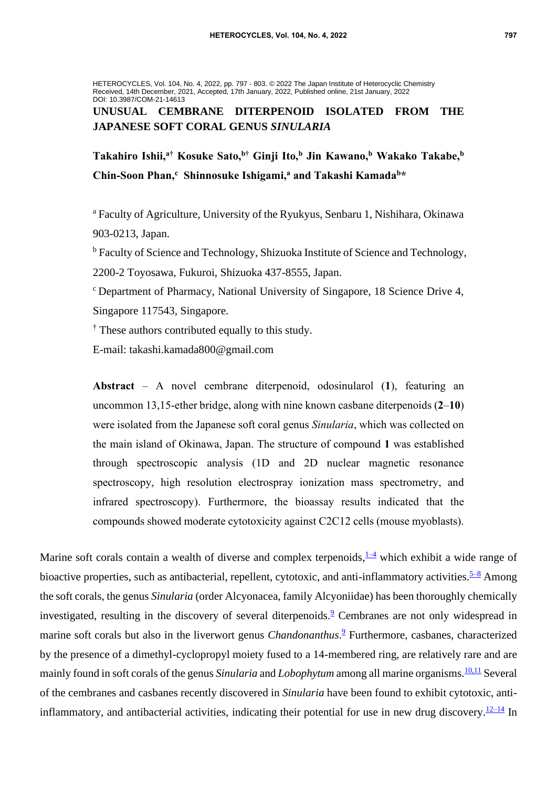HETEROCYCLES, Vol. 104, No. 4, 2022, pp. 797 - 803. © 2022 The Japan Institute of Heterocyclic Chemistry Received, 14th December, 2021, Accepted, 17th January, 2022, Published online, 21st January, 2022 DOI: 10.3987/COM-21-14613

# **UNUSUAL CEMBRANE DITERPENOID ISOLATED FROM THE JAPANESE SOFT CORAL GENUS** *SINULARIA*

**Takahiro Ishii,<sup>a</sup>† Kosuke Sato,<sup>b</sup>† Ginji Ito,<sup>b</sup> Jin Kawano,<sup>b</sup> Wakako Takabe,<sup>b</sup> Chin-Soon Phan,<sup>c</sup> Shinnosuke Ishigami,<sup>a</sup> and Takashi Kamada<sup>b</sup>\***

<sup>a</sup> Faculty of Agriculture, University of the Ryukyus, Senbaru 1, Nishihara, Okinawa 903-0213, Japan.

<sup>b</sup> Faculty of Science and Technology, Shizuoka Institute of Science and Technology, 2200-2 Toyosawa, Fukuroi, Shizuoka 437-8555, Japan.

<sup>c</sup> Department of Pharmacy, National University of Singapore, 18 Science Drive 4, Singapore 117543, Singapore.

<sup>†</sup> These authors contributed equally to this study.

E-mail: takashi.kamada800@gmail.com

**Abstract** – A novel cembrane diterpenoid, odosinularol (**1**), featuring an uncommon 13,15-ether bridge, along with nine known casbane diterpenoids (**2**–**10**) were isolated from the Japanese soft coral genus *Sinularia*, which was collected on the main island of Okinawa, Japan. The structure of compound **1** was established through spectroscopic analysis (1D and 2D nuclear magnetic resonance spectroscopy, high resolution electrospray ionization mass spectrometry, and infrared spectroscopy). Furthermore, the bioassay results indicated that the compounds showed moderate cytotoxicity against C2C12 cells (mouse myoblasts).

Marine soft corals contain a wealth of diverse and complex terpenoids,  $\frac{1-4}{2}$  which exhibit a wide range of bioactive properties, such as antibacterial, repellent, cytotoxic, and anti-inflammatory activities. $5-8$  Among the soft corals, the genus *Sinularia* (order Alcyonacea, family Alcyoniidae) has been thoroughly chemically investigated, resulting in the discovery of several diterpenoids.<sup>[9](#page-5-2)</sup> Cembranes are not only widespread in marine soft corals but also in the liverwort genus *Chandonanthus*. [9](#page-5-2) Furthermore, casbanes, characterized by the presence of a dimethyl-cyclopropyl moiety fused to a 14-membered ring, are relatively rare and are mainly found in soft corals of the genus *Sinularia* and *Lobophytum* among all marine organisms.<sup>[10,11](#page-5-3)</sup> Several of the cembranes and casbanes recently discovered in *Sinularia* have been found to exhibit cytotoxic, anti-inflammatory, and antibacterial activities, indicating their potential for use in new drug discovery.<sup>[12–14](#page-5-4)</sup> In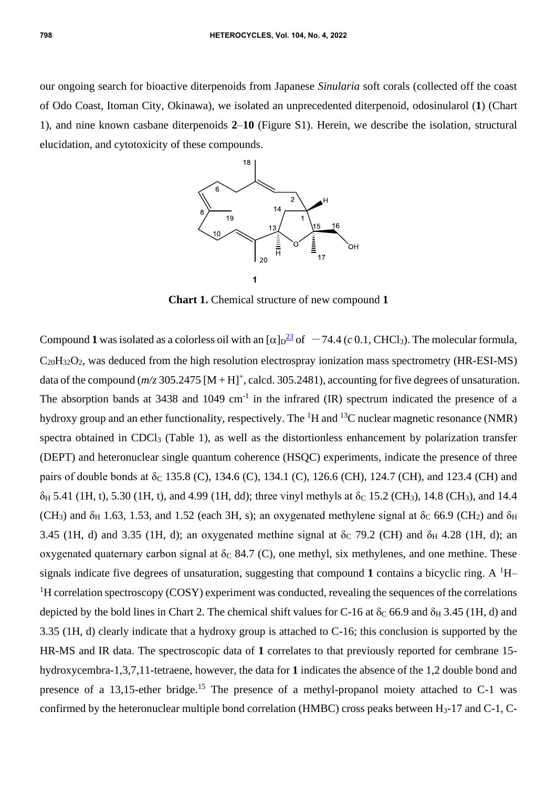our ongoing search for bioactive diterpenoids from Japanese *Sinularia* soft corals (collected off the coast of Odo Coast, Itoman City, Okinawa), we isolated an unprecedented diterpenoid, odosinularol (**1**) (Chart 1), and nine known casbane diterpenoids **2**–**10** (Figure S1). Herein, we describe the isolation, structural elucidation, and cytotoxicity of these compounds.



**Chart 1.** Chemical structure of new compound **1**

Compound 1 was isolated as a colorless oil with an  $\lbrack \alpha \rbrack p^{23}$  $\lbrack \alpha \rbrack p^{23}$  $\lbrack \alpha \rbrack p^{23}$  of  $\lbrack -74.4 \, (\text{c } 0.1, \text{CHCl}_3)$ . The molecular formula,  $C_{20}H_{32}O_2$ , was deduced from the high resolution electrospray ionization mass spectrometry (HR-ESI-MS) data of the compound  $(m/z)$  305.2475  $[M + H]^{+}$ , calcd. 305.2481), accounting for five degrees of unsaturation. The absorption bands at  $3438$  and  $1049 \text{ cm}^{-1}$  in the infrared (IR) spectrum indicated the presence of a hydroxy group and an ether functionality, respectively. The  ${}^{1}H$  and  ${}^{13}C$  nuclear magnetic resonance (NMR) spectra obtained in CDCl<sub>3</sub> (Table 1), as well as the distortionless enhancement by polarization transfer (DEPT) and heteronuclear single quantum coherence (HSQC) experiments, indicate the presence of three pairs of double bonds at  $\delta$ <sub>C</sub> 135.8 (C), 134.6 (C), 134.1 (C), 126.6 (CH), 124.7 (CH), and 123.4 (CH) and  $\delta_H$  5.41 (1H, t), 5.30 (1H, t), and 4.99 (1H, dd); three vinyl methyls at  $\delta_C$  15.2 (CH<sub>3</sub>), 14.8 (CH<sub>3</sub>), and 14.4 (CH<sub>3</sub>) and  $\delta_H$  1.63, 1.53, and 1.52 (each 3H, s); an oxygenated methylene signal at  $\delta_C$  66.9 (CH<sub>2</sub>) and  $\delta_H$ 3.45 (1H, d) and 3.35 (1H, d); an oxygenated methine signal at  $\delta$ <sub>C</sub> 79.2 (CH) and  $\delta$ <sub>H</sub> 4.28 (1H, d); an oxygenated quaternary carbon signal at  $\delta$ c 84.7 (C), one methyl, six methylenes, and one methine. These signals indicate five degrees of unsaturation, suggesting that compound 1 contains a bicyclic ring. A  $^1$ H–  ${}^{1}$ H correlation spectroscopy (COSY) experiment was conducted, revealing the sequences of the correlations depicted by the bold lines in Chart 2. The chemical shift values for C-16 at  $\delta_c$  66.9 and  $\delta_H$  3.45 (1H, d) and 3.35 (1H, d) clearly indicate that a hydroxy group is attached to C-16; this conclusion is supported by the HR-MS and IR data. The spectroscopic data of **1** correlates to that previously reported for cembrane 15 hydroxycembra-1,3,7,11-tetraene, however, the data for **1** indicates the absence of the 1,2 double bond and presence of a 13,15-ether bridge.<sup>15</sup> The presence of a methyl-propanol moiety attached to C-1 was confirmed by the heteronuclear multiple bond correlation (HMBC) cross peaks between  $H_3$ -17 and C-1, C-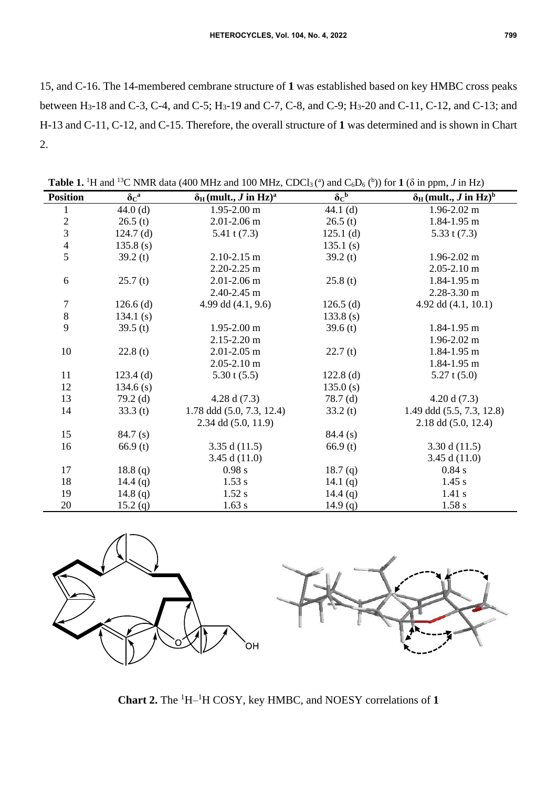15, and C-16. The 14-membered cembrane structure of **1** was established based on key HMBC cross peaks between H3-18 and C-3, C-4, and C-5; H3-19 and C-7, C-8, and C-9; H3-20 and C-11, C-12, and C-13; and H-13 and C-11, C-12, and C-15. Therefore, the overall structure of **1** was determined and is shown in Chart 2.

| <b>Position</b>         | $\delta c^a$ | $\delta_H$ (mult., J in Hz) <sup>a</sup> | $\delta c^b$        | $\delta_H$ (mult., <i>J</i> in Hz) <sup>b</sup> |
|-------------------------|--------------|------------------------------------------|---------------------|-------------------------------------------------|
| $\mathbf{1}$            | $44.0$ (d)   | $1.95 - 2.00$ m                          | 44.1 $(d)$          | $1.96 - 2.02$ m                                 |
| $\overline{\mathbf{c}}$ | 26.5(t)      | $2.01 - 2.06$ m                          | 26.5(t)             | 1.84-1.95 m                                     |
| $\overline{3}$          | $124.7$ (d)  | 5.41 t $(7.3)$                           | $125.1$ (d)         | 5.33 t $(7.3)$                                  |
| $\overline{4}$          | 135.8(s)     |                                          | 135.1(s)            |                                                 |
| 5                       | 39.2(t)      | $2.10 - 2.15$ m                          | 39.2 $(t)$          | $1.96 - 2.02$ m                                 |
|                         |              | $2.20 - 2.25$ m                          |                     | $2.05 - 2.10$ m                                 |
| 6                       | 25.7(t)      | $2.01 - 2.06$ m                          | 25.8(t)             | 1.84-1.95 m                                     |
|                         |              | 2.40-2.45 m                              |                     | 2.28-3.30 m                                     |
| $\tau$                  | $126.6$ (d)  | 4.99 dd $(4.1, 9.6)$                     | $126.5$ (d)         | 4.92 dd $(4.1, 10.1)$                           |
| $\,8\,$                 | 134.1 $(s)$  |                                          | $133.8$ (s)         |                                                 |
| 9                       | 39.5 $(t)$   | $1.95 - 2.00$ m                          | 39.6(t)             | 1.84-1.95 m                                     |
|                         |              | $2.15 - 2.20$ m                          |                     | $1.96 - 2.02$ m                                 |
| 10                      | 22.8(t)      | $2.01 - 2.05$ m                          | 22.7(t)             | 1.84-1.95 m                                     |
|                         |              | $2.05 - 2.10$ m                          |                     | 1.84-1.95 m                                     |
| 11                      | $123.4$ (d)  | $5.30$ t $(5.5)$                         | $122.8$ (d)         | $5.27$ t $(5.0)$                                |
| 12                      | $134.6$ (s)  |                                          | 135.0(s)            |                                                 |
| 13                      | $79.2$ (d)   | 4.28 d $(7.3)$                           | $78.7$ (d)          | 4.20 d $(7.3)$                                  |
| 14                      | 33.3(t)      | 1.78 ddd (5.0, 7.3, 12.4)                | 33.2(t)             | 1.49 ddd (5.5, 7.3, 12.8)                       |
|                         |              | 2.34 dd (5.0, 11.9)                      |                     | $2.18$ dd $(5.0, 12.4)$                         |
| 15                      | 84.7(s)      |                                          | 84.4(s)             |                                                 |
| 16                      | 66.9(t)      | 3.35 d $(11.5)$                          | 66.9(t)             | 3.30 d $(11.5)$                                 |
|                         |              | 3.45 d $(11.0)$                          |                     | 3.45 d $(11.0)$                                 |
| 17                      | 18.8(q)      | 0.98 s                                   | 18.7 <sub>(q)</sub> | 0.84 s                                          |
| 18                      | 14.4 $(q)$   | 1.53 s                                   | 14.1 $(q)$          | 1.45 s                                          |
| 19                      | 14.8 $(q)$   | $1.52$ s                                 | 14.4 $(q)$          | 1.41 s                                          |
| 20                      | 15.2 (q)     | 1.63 s                                   | 14.9 $(q)$          | 1.58 s                                          |

**Table 1.** <sup>1</sup>H and <sup>13</sup>C NMR data (400 MHz and 100 MHz, CDCl<sub>3</sub>(<sup>a</sup>) and C<sub>6</sub>D<sub>6</sub>(<sup>b</sup>)) for **1** ( $\delta$  in ppm, *J* in Hz)



**Chart 2.** The <sup>1</sup>H– <sup>1</sup>H COSY, key HMBC, and NOESY correlations of **1**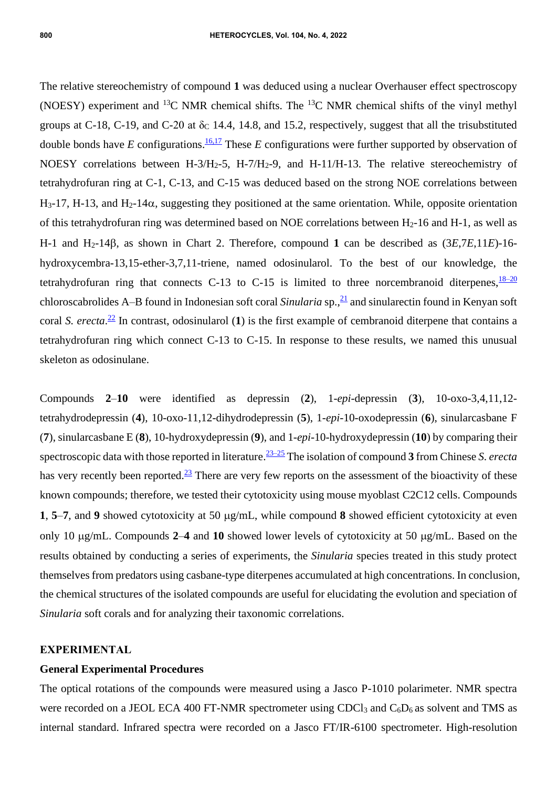The relative stereochemistry of compound **1** was deduced using a nuclear Overhauser effect spectroscopy (NOESY) experiment and <sup>13</sup>C NMR chemical shifts. The <sup>13</sup>C NMR chemical shifts of the vinyl methyl groups at C-18, C-19, and C-20 at  $\delta_c$  14.4, 14.8, and 15.2, respectively, suggest that all the trisubstituted double bonds have *E* configurations.<sup>[16,17](#page-6-1)</sup> These *E* configurations were further supported by observation of NOESY correlations between H-3/H2-5, H-7/H2-9, and H-11/H-13. The relative stereochemistry of tetrahydrofuran ring at C-1, C-13, and C-15 was deduced based on the strong NOE correlations between  $H_3-17$ , H-13, and  $H_2-14\alpha$ , suggesting they positioned at the same orientation. While, opposite orientation of this tetrahydrofuran ring was determined based on NOE correlations between H2-16 and H-1, as well as H-1 and H<sub>2</sub>-14 $\beta$ , as shown in Chart 2. Therefore, compound 1 can be described as  $(3E,7E,11E)$ -16hydroxycembra-13,15-ether-3,7,11-triene, named odosinularol. To the best of our knowledge, the tetrahydrofuran ring that connects C-13 to C-15 is limited to three norcembranoid diterpenes,  $\frac{18-20}{2}$ chloroscabrolides A–B found in Indonesian soft coral *Sinularia* sp., [21](#page-6-3) and sinularectin found in Kenyan soft coral *S. erecta*. [22](#page-6-4) In contrast, odosinularol (**1**) is the first example of cembranoid diterpene that contains a tetrahydrofuran ring which connect C-13 to C-15. In response to these results, we named this unusual skeleton as odosinulane.

Compounds **2**–**10** were identified as depressin (**2**), 1-*epi*-depressin (**3**), 10-oxo-3,4,11,12 tetrahydrodepressin (**4**), 10-oxo-11,12-dihydrodepressin (**5**), 1-*epi*-10-oxodepressin (**6**), sinularcasbane F (**7**), sinularcasbane E (**8**), 10-hydroxydepressin (**9**), and 1-*epi*-10-hydroxydepressin (**10**) by comparing their spectroscopic data with those reported in literature. [23–25](#page-6-0) The isolation of compound **3** from Chinese *S. erecta* has very recently been reported. $\frac{23}{2}$  $\frac{23}{2}$  $\frac{23}{2}$  There are very few reports on the assessment of the bioactivity of these known compounds; therefore, we tested their cytotoxicity using mouse myoblast C2C12 cells. Compounds **1**, **5**–7, and **9** showed cytotoxicity at 50  $\mu$ g/mL, while compound **8** showed efficient cytotoxicity at even only 10  $\mu$ g/mL. Compounds 2–4 and 10 showed lower levels of cytotoxicity at 50  $\mu$ g/mL. Based on the results obtained by conducting a series of experiments, the *Sinularia* species treated in this study protect themselves from predators using casbane-type diterpenes accumulated at high concentrations. In conclusion, the chemical structures of the isolated compounds are useful for elucidating the evolution and speciation of *Sinularia* soft corals and for analyzing their taxonomic correlations.

#### **EXPERIMENTAL**

#### **General Experimental Procedures**

The optical rotations of the compounds were measured using a Jasco P-1010 polarimeter. NMR spectra were recorded on a JEOL ECA 400 FT-NMR spectrometer using CDCl<sub>3</sub> and  $C_6D_6$  as solvent and TMS as internal standard. Infrared spectra were recorded on a Jasco FT/IR-6100 spectrometer. High-resolution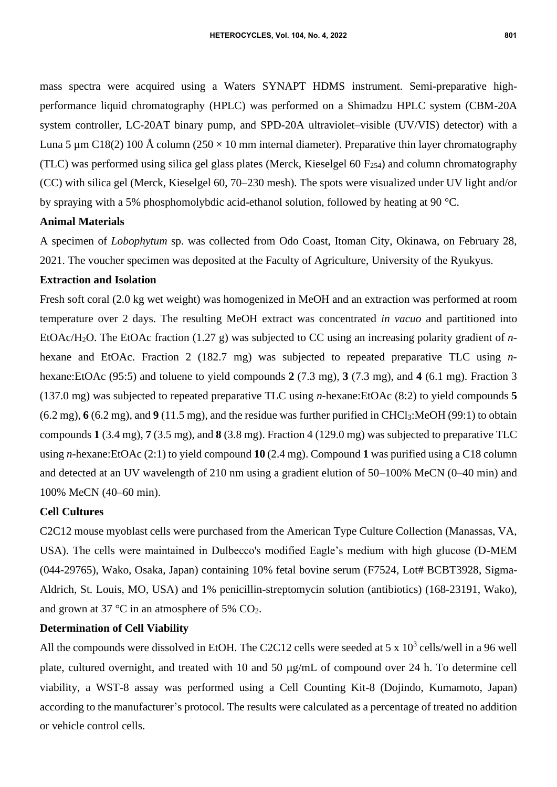mass spectra were acquired using a Waters SYNAPT HDMS instrument. Semi-preparative highperformance liquid chromatography (HPLC) was performed on a Shimadzu HPLC system (CBM-20A system controller, LC-20AT binary pump, and SPD-20A ultraviolet–visible (UV/VIS) detector) with a Luna 5 µm C18(2) 100 Å column (250  $\times$  10 mm internal diameter). Preparative thin layer chromatography (TLC) was performed using silica gel glass plates (Merck, Kieselgel  $60 F_{254}$ ) and column chromatography (CC) with silica gel (Merck, Kieselgel 60, 70–230 mesh). The spots were visualized under UV light and/or by spraying with a 5% phosphomolybdic acid-ethanol solution, followed by heating at 90 °C.

## **Animal Materials**

A specimen of *Lobophytum* sp. was collected from Odo Coast, Itoman City, Okinawa, on February 28, 2021. The voucher specimen was deposited at the Faculty of Agriculture, University of the Ryukyus.

## **Extraction and Isolation**

Fresh soft coral (2.0 kg wet weight) was homogenized in MeOH and an extraction was performed at room temperature over 2 days. The resulting MeOH extract was concentrated *in vacuo* and partitioned into EtOAc/H2O. The EtOAc fraction (1.27 g) was subjected to CC using an increasing polarity gradient of *n*hexane and EtOAc. Fraction 2 (182.7 mg) was subjected to repeated preparative TLC using *n*hexane:EtOAc (95:5) and toluene to yield compounds **2** (7.3 mg), **3** (7.3 mg), and **4** (6.1 mg). Fraction 3 (137.0 mg) was subjected to repeated preparative TLC using *n-*hexane:EtOAc (8:2) to yield compounds **5** (6.2 mg), **6** (6.2 mg), and **9** (11.5 mg), and the residue was further purified in CHCl3:MeOH (99:1) to obtain compounds **1** (3.4 mg), **7** (3.5 mg), and **8** (3.8 mg). Fraction 4 (129.0 mg) was subjected to preparative TLC using *n-*hexane:EtOAc (2:1) to yield compound **10** (2.4 mg). Compound **1** was purified using a C18 column and detected at an UV wavelength of 210 nm using a gradient elution of 50–100% MeCN (0–40 min) and 100% MeCN (40–60 min).

#### **Cell Cultures**

C2C12 mouse myoblast cells were purchased from the American Type Culture Collection (Manassas, VA, USA). The cells were maintained in Dulbecco's modified Eagle's medium with high glucose (D-MEM (044-29765), Wako, Osaka, Japan) containing 10% fetal bovine serum (F7524, Lot# BCBT3928, Sigma-Aldrich, St. Louis, MO, USA) and 1% penicillin-streptomycin solution (antibiotics) (168-23191, Wako), and grown at 37  $\degree$ C in an atmosphere of 5% CO<sub>2</sub>.

## **Determination of Cell Viability**

All the compounds were dissolved in EtOH. The C2C12 cells were seeded at 5 x  $10^3$  cells/well in a 96 well plate, cultured overnight, and treated with 10 and 50  $\mu$ g/mL of compound over 24 h. To determine cell viability, a WST-8 assay was performed using a Cell Counting Kit-8 (Dojindo, Kumamoto, Japan) according to the manufacturer's protocol. The results were calculated as a percentage of treated no addition or vehicle control cells.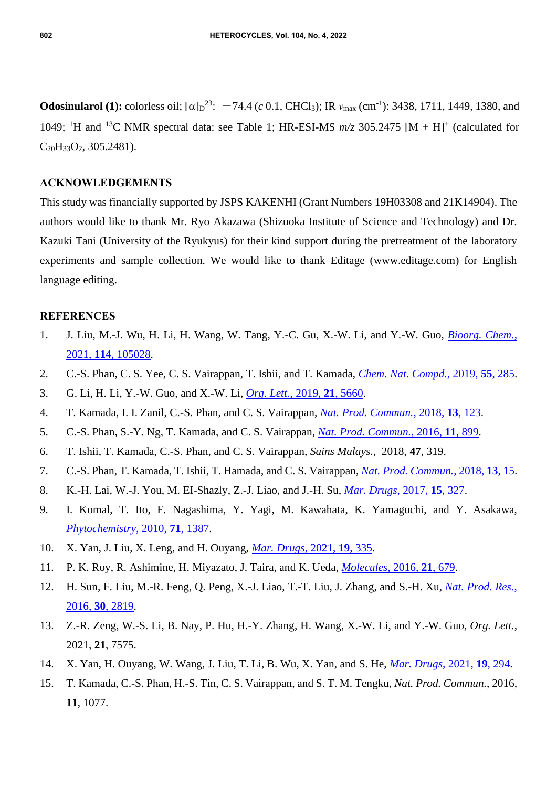**Odosinularol (1):** colorless oil;  $[\alpha]_D^{23}$ :  $-74.4$  (*c* 0.1, CHCl<sub>3</sub>); IR  $v_{\text{max}}$  (cm<sup>-1</sup>): 3438, 1711, 1449, 1380, and 1049; <sup>1</sup>H and <sup>13</sup>C NMR spectral data: see Table 1; HR-ESI-MS  $m/z$  305.2475 [M + H]<sup>+</sup> (calculated for  $C_{20}H_{33}O_2$ , 305.2481).

### **ACKNOWLEDGEMENTS**

This study was financially supported by JSPS KAKENHI (Grant Numbers 19H03308 and 21K14904). The authors would like to thank Mr. Ryo Akazawa (Shizuoka Institute of Science and Technology) and Dr. Kazuki Tani (University of the Ryukyus) for their kind support during the pretreatment of the laboratory experiments and sample collection. We would like to thank Editage (www.editage.com) for English language editing.

#### **REFERENCES**

- <span id="page-5-0"></span>1. J. Liu, M.-J. Wu, H. Li, H. Wang, W. Tang, Y.-C. Gu, X.-W. Li, and Y.-W. Guo, *[Bioorg.](http://dx.doi.org/10.1016/j.bioorg.2021.105028) Chem.*, 2021, **114**[, 105028.](http://dx.doi.org/10.1016/j.bioorg.2021.105028)
- 2. C.-S. Phan, C. S. Yee, C. S. Vairappan, T. Ishii, and T. Kamada, *Chem. Nat. [Compd.](http://dx.doi.org/10.1007/s10600-019-02668-w)*, 2019, **55**, 285.
- 3. G. Li, H. Li, Y.-W. Guo, and X.-W. Li, *Org. Lett.*[, 2019,](http://dx.doi.org/10.1021/acs.orglett.9b01998) **21**, 5660.
- 4. T. Kamada, I. I. Zanil, C.-S. Phan, and C. S. Vairappan, *Nat. Prod. [Commun.](http://dx.doi.org/10.1177/1934578X1801300203)*, 2018, **13**, 123.
- <span id="page-5-1"></span>5. C.-S. Phan, S.-Y. Ng, T. Kamada, and C. S. Vairappan, *[Nat. Prod. Commun.](http://dx.doi.org/10.1177/1934578X1601100708)*, 2016, **11**, 899.
- 6. T. Ishii, T. Kamada, C.-S. Phan, and C. S. Vairappan, *Sains Malays.*, 2018, **47**, 319.
- 7. C.-S. Phan, T. Kamada, T. Ishii, T. Hamada, and C. S. Vairappan, *[Nat. Prod. Commun.](http://dx.doi.org/10.1177/1934578X1801300105)*, 2018, **13**, 15.
- 8. K.-H. Lai, W.-J. You, M. EI-Shazly, Z.-J. Liao, and J.-H. Su, *Mar. Drugs*[, 2017,](http://dx.doi.org/10.3390/md15100327) **15**, 327.
- <span id="page-5-2"></span>9. I. Komal, T. Ito, F. Nagashima, Y. Yagi, M. Kawahata, K. Yamaguchi, and Y. Asakawa, *[Phytochemistry](http://dx.doi.org/10.1016/j.phytochem.2010.04.023)*, 2010, **71**, 1387.
- <span id="page-5-3"></span>10. X. Yan, J. Liu, X. Leng, and H. Ouyang, *Mar. Drugs*[, 2021,](http://dx.doi.org/10.3390/md19060335) **19**, 335.
- 11. P. K. Roy, R. Ashimine, H. Miyazato, J. Taira, and K. Ueda, *[Molecules](http://dx.doi.org/10.3390/molecules21050679)*, 2016, **21**, 679.
- <span id="page-5-4"></span>12. H. Sun, F. Liu, M.-R. Feng, Q. Peng, X.-J. Liao, T.-T. Liu, J. Zhang, and S.-H. Xu, *Nat. [Prod.](http://dx.doi.org/10.1080/14786419.2016.1166495) Res.*, 2016, **30**[, 2819.](http://dx.doi.org/10.1080/14786419.2016.1166495)
- 13. Z.-R. Zeng, W.-S. Li, B. Nay, P. Hu, H.-Y. Zhang, H. Wang, X.-W. Li, and Y.-W. Guo, *Org. Lett.*, 2021, **21**, 7575.
- 14. X. Yan, H. Ouyang, W. Wang, J. Liu, T. Li, B. Wu, X. Yan, and S. He, *Mar. Drugs*[, 2021,](http://dx.doi.org/10.3390/md19060294) **19**, 294.
- 15. T. Kamada, C.-S. Phan, H.-S. Tin, C. S. Vairappan, and S. T. M. Tengku, *Nat. Prod. Commun.*, 2016, **11**, 1077.